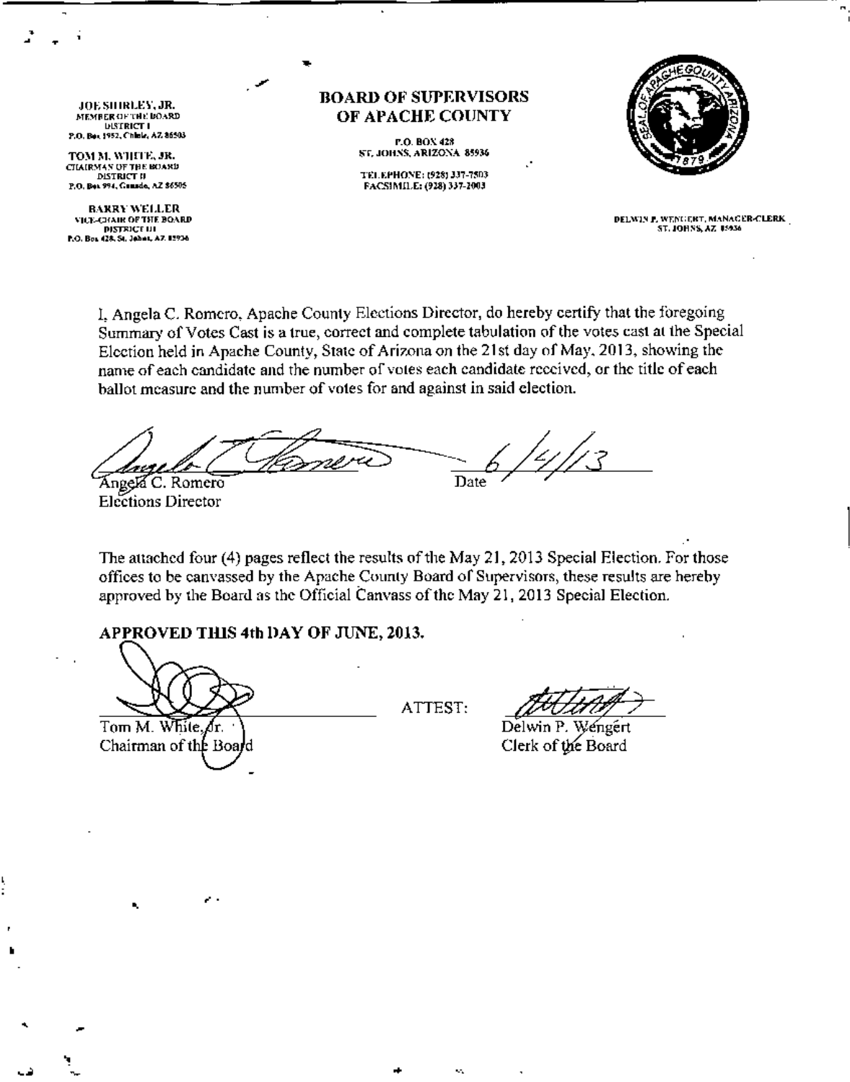JOE; SIIIRLEY, JR.<br>member of the board<br>"District i P,O, Bo., 1952, Chinie, AZ 86503

• • •

•

TOM M. WHITE, JR.<br>CIMIRMAN OF THE BOARD DISTRICT II P.O. Box 994, Gausdo, AZ \$6505

RARRYWELL£R VICE-CHAIR OF THE BOARD.<br>DISTRICE UI P.O. Bos 428, St. Johns, A7, 12936

## BOARD **01<'** SUPERVISORS OF APACHE COUNTY

•

**P.O. BOX 428** ST, JOHNS, ARIZONA 85936

TEL.EPHONE: (928) 337-7503 FACS(MILE: (928) 337-2003



DELWIN F. WENGERT, MANAGER-CLERK ST. JOHNS, AZ 15936

1, Angela C. Romero, Apache County Elections Director, do hereby certify that the foregoing Summary of Votes Cast is a true, correct and complete tabulation of the votes cast at the Special Election held in Apache County, State of Arizona on the 21st day of May, 2013, showing the name of each candidate and the number of voles each candidate received, or the title of each ballot measure and the number of votes for and against in said election.

Date Angela C. Romero

Elections Director

The attached four (4) pages reflect the results of the May 21, 2013 Special Election. For those offices to be canvassed by the Apache County Board or Supervisors, these results are hereby approved by the Board as the Official Canvass of the May 21, 2013 Special Election.

## APPROVED THIS 4th DAY OF JUNE, 2013.

Tom M. White. Лr. Chairman of the Board

ATTEST,

•

JUIAA<br>Delwin P. Wenger

Clerk of the Board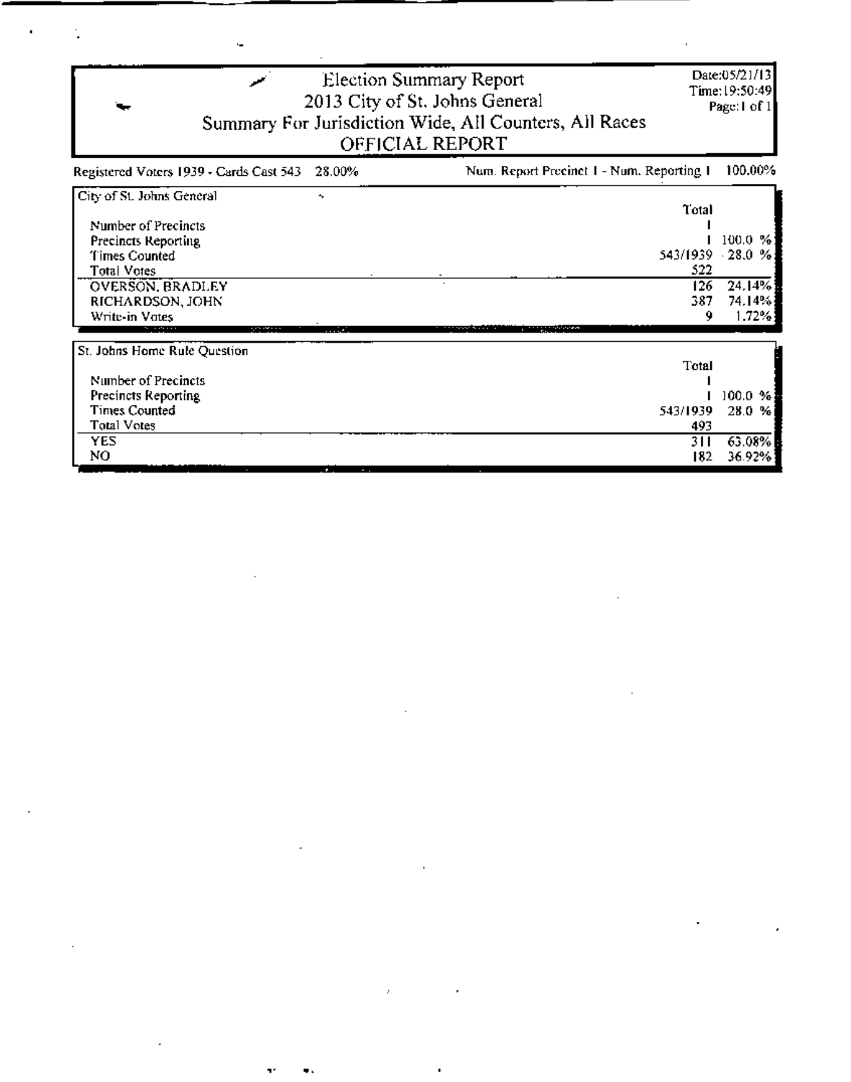| Date:05/21/13<br>Election Summary Report<br>Time:19:50:49]<br>2013 City of St. Johns General<br>Summary For Jurisdiction Wide, All Counters, All Races<br>OFFICIAL REPORT |                                                  |  |  |  |
|---------------------------------------------------------------------------------------------------------------------------------------------------------------------------|--------------------------------------------------|--|--|--|
| Num. Report Precinct 1 - Num. Reporting 1                                                                                                                                 | 100.00%                                          |  |  |  |
| Total<br>543/1939<br>522<br>126<br>387<br>9                                                                                                                               | 100.0 %<br>$-28.0%$<br>24.14%<br>74.14%<br>1.72% |  |  |  |
| Total<br>543/1939<br>493                                                                                                                                                  | 100.0 %<br>28.0<br>%<br>63.08%                   |  |  |  |
|                                                                                                                                                                           | Page: I of 1<br>311<br>36.92%<br>182             |  |  |  |

 $\label{eq:2.1} \frac{1}{\sqrt{2}}\int_{\mathbb{R}^3}\frac{1}{\sqrt{2}}\left(\frac{1}{\sqrt{2}}\right)^2\frac{1}{\sqrt{2}}\left(\frac{1}{\sqrt{2}}\right)^2\frac{1}{\sqrt{2}}\left(\frac{1}{\sqrt{2}}\right)^2\frac{1}{\sqrt{2}}\left(\frac{1}{\sqrt{2}}\right)^2.$ 

 $\mathcal{L}^{\mathcal{L}}_{\mathcal{L}}$  and  $\mathcal{L}^{\mathcal{L}}_{\mathcal{L}}$  and  $\mathcal{L}^{\mathcal{L}}_{\mathcal{L}}$  and  $\mathcal{L}^{\mathcal{L}}_{\mathcal{L}}$ 

 $\mathcal{L}^{\text{max}}_{\text{max}}$ 

 $\label{eq:2.1} \mathcal{L}(\mathcal{L}^{\mathcal{L}}_{\mathcal{L}}(\mathcal{L}^{\mathcal{L}}_{\mathcal{L}})) \leq \mathcal{L}(\mathcal{L}^{\mathcal{L}}_{\mathcal{L}}(\mathcal{L}^{\mathcal{L}}_{\mathcal{L}})) \leq \mathcal{L}(\mathcal{L}^{\mathcal{L}}_{\mathcal{L}}(\mathcal{L}^{\mathcal{L}}_{\mathcal{L}}))$ 

and the control of the control of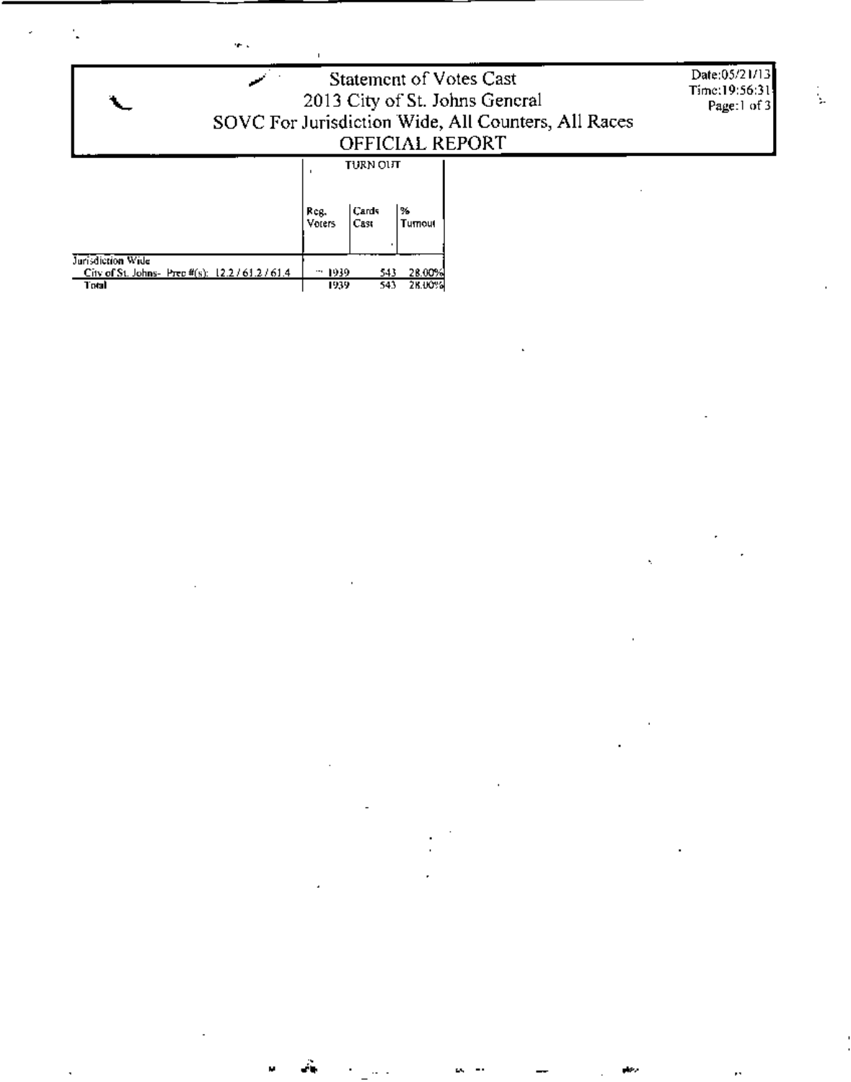| <b>Statement of Votes Cast</b><br>2013 City of St. Johns General<br>SOVC For Jurisdiction Wide, All Counters, All Races<br>OFFICIAL REPORT | Date:05/21/13<br>Time:19:56:31<br>Page:1 of 3 |
|--------------------------------------------------------------------------------------------------------------------------------------------|-----------------------------------------------|
| TURN OLIT<br>l%.<br>Cards<br>Reg.<br>Cast<br>Voters<br>Tumout                                                                              |                                               |

 $\mathcal{L}(\mathcal{L})$  .

 $\mathcal{A}^{\mathcal{A}}$  and  $\mathcal{A}^{\mathcal{A}}$  and  $\mathcal{A}^{\mathcal{A}}$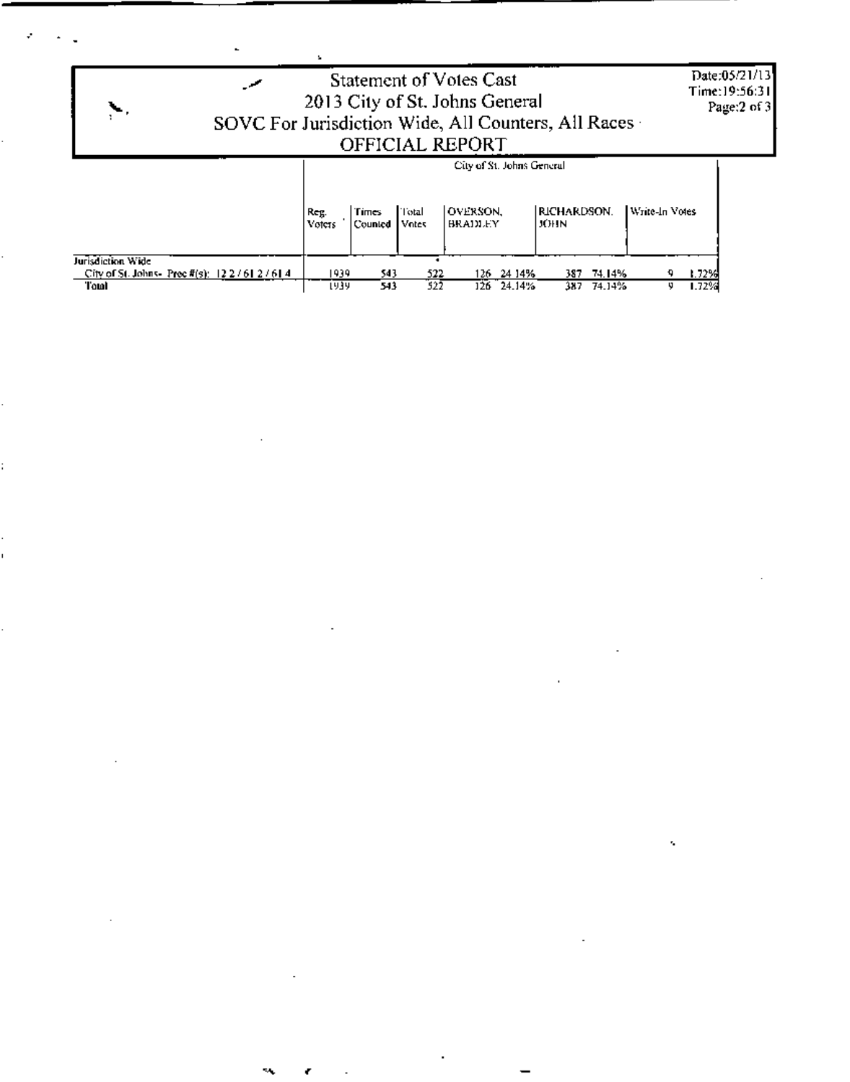| ╰                 |                           |                  |                | <b>Statement of Votes Cast</b><br>2013 City of St. Johns General<br>OFFICIAL REPORT | SOVC For Jurisdiction Wide, All Counters, All Races - |                | Date:05/21/13<br>Time:19:56:31<br>Page:2 of 3 |
|-------------------|---------------------------|------------------|----------------|-------------------------------------------------------------------------------------|-------------------------------------------------------|----------------|-----------------------------------------------|
|                   | City of St. Johns General |                  |                |                                                                                     |                                                       |                |                                               |
|                   | Reg.<br>Voters            | Times<br>Counted | Total<br>Votes | <b>OVERSON.</b><br><b>BRADLEY</b>                                                   | <b>RICHARDSON.</b><br>JOHN                            | Write-In Votes |                                               |
| Jurisdiction Wide |                           | 1939<br>543      |                | 522<br>126 24 14%                                                                   | 387 74.14%                                            | 1.72%          |                                               |

 $\mathcal{L}_{\text{max}}$  and  $\mathcal{L}_{\text{max}}$ 

 $\mathcal{L}_{\text{max}}$  and  $\mathcal{L}_{\text{max}}$  and  $\mathcal{L}_{\text{max}}$ 

 $\mathcal{O}(\mathcal{O}_\mathcal{O})$  . The contract of the contract of the contract of the contract of the contract of the contract of the contract of the contract of the contract of the contract of the contract of the contract of the co

 $\epsilon$  , and the set of  $\epsilon$ 

and the state of the state of

 $\mathcal{L}(\mathcal{L})$  and  $\mathcal{L}(\mathcal{L})$  are the set of the set of the set of the set of the set of  $\mathcal{L}(\mathcal{L})$ 

i<br>S

Ļ,

i.

 $\frac{1}{1}$ 

i<br>Santa